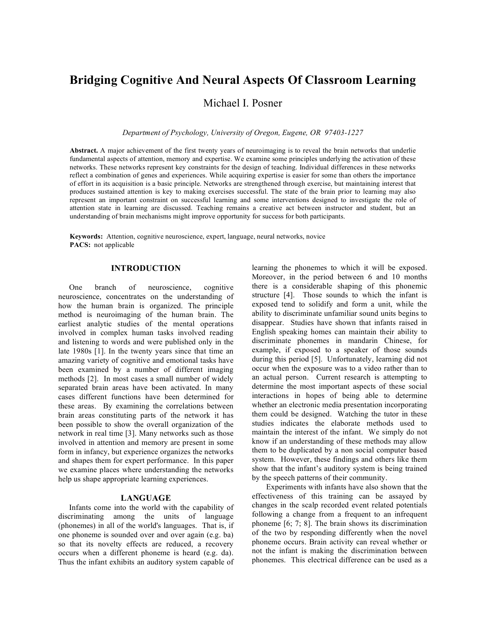# **Bridging Cognitive And Neural Aspects Of Classroom Learning**

Michael I. Posner

*Department of Psychology, University of Oregon, Eugene, OR 97403-1227*

**Abstract.** A major achievement of the first twenty years of neuroimaging is to reveal the brain networks that underlie fundamental aspects of attention, memory and expertise. We examine some principles underlying the activation of these networks. These networks represent key constraints for the design of teaching. Individual differences in these networks reflect a combination of genes and experiences. While acquiring expertise is easier for some than others the importance of effort in its acquisition is a basic principle. Networks are strengthened through exercise, but maintaining interest that produces sustained attention is key to making exercises successful. The state of the brain prior to learning may also represent an important constraint on successful learning and some interventions designed to investigate the role of attention state in learning are discussed. Teaching remains a creative act between instructor and student, but an understanding of brain mechanisms might improve opportunity for success for both participants.

**Keywords:** Attention, cognitive neuroscience, expert, language, neural networks, novice **PACS:** not applicable

## **INTRODUCTION**

One branch of neuroscience, cognitive neuroscience, concentrates on the understanding of how the human brain is organized. The principle method is neuroimaging of the human brain. The earliest analytic studies of the mental operations involved in complex human tasks involved reading and listening to words and were published only in the late 1980s [1]. In the twenty years since that time an amazing variety of cognitive and emotional tasks have been examined by a number of different imaging methods [2]. In most cases a small number of widely separated brain areas have been activated. In many cases different functions have been determined for these areas. By examining the correlations between brain areas constituting parts of the network it has been possible to show the overall organization of the network in real time [3]. Many networks such as those involved in attention and memory are present in some form in infancy, but experience organizes the networks and shapes them for expert performance. In this paper we examine places where understanding the networks help us shape appropriate learning experiences.

# **LANGUAGE**

Infants come into the world with the capability of discriminating among the units of language (phonemes) in all of the world's languages. That is, if one phoneme is sounded over and over again (e.g. ba) so that its novelty effects are reduced, a recovery occurs when a different phoneme is heard (e.g. da). Thus the infant exhibits an auditory system capable of learning the phonemes to which it will be exposed. Moreover, in the period between 6 and 10 months there is a considerable shaping of this phonemic structure [4]. Those sounds to which the infant is exposed tend to solidify and form a unit, while the ability to discriminate unfamiliar sound units begins to disappear. Studies have shown that infants raised in English speaking homes can maintain their ability to discriminate phonemes in mandarin Chinese, for example, if exposed to a speaker of those sounds during this period [5]. Unfortunately, learning did not occur when the exposure was to a video rather than to an actual person. Current research is attempting to determine the most important aspects of these social interactions in hopes of being able to determine whether an electronic media presentation incorporating them could be designed. Watching the tutor in these studies indicates the elaborate methods used to maintain the interest of the infant. We simply do not know if an understanding of these methods may allow them to be duplicated by a non social computer based system. However, these findings and others like them show that the infant's auditory system is being trained by the speech patterns of their community.

Experiments with infants have also shown that the effectiveness of this training can be assayed by changes in the scalp recorded event related potentials following a change from a frequent to an infrequent phoneme [6; 7; 8]. The brain shows its discrimination of the two by responding differently when the novel phoneme occurs. Brain activity can reveal whether or not the infant is making the discrimination between phonemes. This electrical difference can be used as a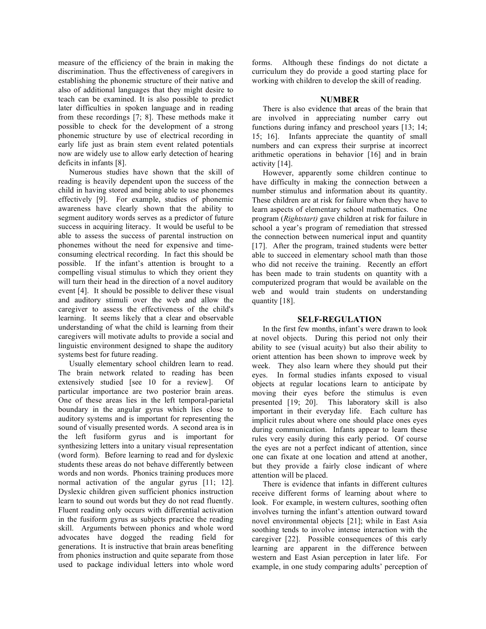measure of the efficiency of the brain in making the discrimination. Thus the effectiveness of caregivers in establishing the phonemic structure of their native and also of additional languages that they might desire to teach can be examined. It is also possible to predict later difficulties in spoken language and in reading from these recordings [7; 8]. These methods make it possible to check for the development of a strong phonemic structure by use of electrical recording in early life just as brain stem event related potentials now are widely use to allow early detection of hearing deficits in infants [8].

Numerous studies have shown that the skill of reading is heavily dependent upon the success of the child in having stored and being able to use phonemes effectively [9]. For example, studies of phonemic awareness have clearly shown that the ability to segment auditory words serves as a predictor of future success in acquiring literacy. It would be useful to be able to assess the success of parental instruction on phonemes without the need for expensive and timeconsuming electrical recording. In fact this should be possible. If the infant's attention is brought to a compelling visual stimulus to which they orient they will turn their head in the direction of a novel auditory event [4]. It should be possible to deliver these visual and auditory stimuli over the web and allow the caregiver to assess the effectiveness of the child's learning. It seems likely that a clear and observable understanding of what the child is learning from their caregivers will motivate adults to provide a social and linguistic environment designed to shape the auditory systems best for future reading.

Usually elementary school children learn to read. The brain network related to reading has been extensively studied [see 10 for a review]. Of particular importance are two posterior brain areas. One of these areas lies in the left temporal-parietal boundary in the angular gyrus which lies close to auditory systems and is important for representing the sound of visually presented words. A second area is in the left fusiform gyrus and is important for synthesizing letters into a unitary visual representation (word form). Before learning to read and for dyslexic students these areas do not behave differently between words and non words. Phonics training produces more normal activation of the angular gyrus [11; 12]. Dyslexic children given sufficient phonics instruction learn to sound out words but they do not read fluently. Fluent reading only occurs with differential activation in the fusiform gyrus as subjects practice the reading skill. Arguments between phonics and whole word advocates have dogged the reading field for generations. It is instructive that brain areas benefiting from phonics instruction and quite separate from those used to package individual letters into whole word

forms. Although these findings do not dictate a curriculum they do provide a good starting place for working with children to develop the skill of reading.

## **NUMBER**

There is also evidence that areas of the brain that are involved in appreciating number carry out functions during infancy and preschool years [13; 14; 15; 16]. Infants appreciate the quantity of small numbers and can express their surprise at incorrect arithmetic operations in behavior [16] and in brain activity [14].

However, apparently some children continue to have difficulty in making the connection between a number stimulus and information about its quantity. These children are at risk for failure when they have to learn aspects of elementary school mathematics. One program (*Rightstart)* gave children at risk for failure in school a year's program of remediation that stressed the connection between numerical input and quantity [17]. After the program, trained students were better able to succeed in elementary school math than those who did not receive the training. Recently an effort has been made to train students on quantity with a computerized program that would be available on the web and would train students on understanding quantity [18].

#### **SELF-REGULATION**

In the first few months, infant's were drawn to look at novel objects. During this period not only their ability to see (visual acuity) but also their ability to orient attention has been shown to improve week by week. They also learn where they should put their eyes. In formal studies infants exposed to visual objects at regular locations learn to anticipate by moving their eyes before the stimulus is even presented [19; 20]. This laboratory skill is also important in their everyday life. Each culture has implicit rules about where one should place ones eyes during communication. Infants appear to learn these rules very easily during this early period. Of course the eyes are not a perfect indicant of attention, since one can fixate at one location and attend at another, but they provide a fairly close indicant of where attention will be placed.

There is evidence that infants in different cultures receive different forms of learning about where to look. For example, in western cultures, soothing often involves turning the infant's attention outward toward novel environmental objects [21]; while in East Asia soothing tends to involve intense interaction with the caregiver [22]. Possible consequences of this early learning are apparent in the difference between western and East Asian perception in later life. For example, in one study comparing adults' perception of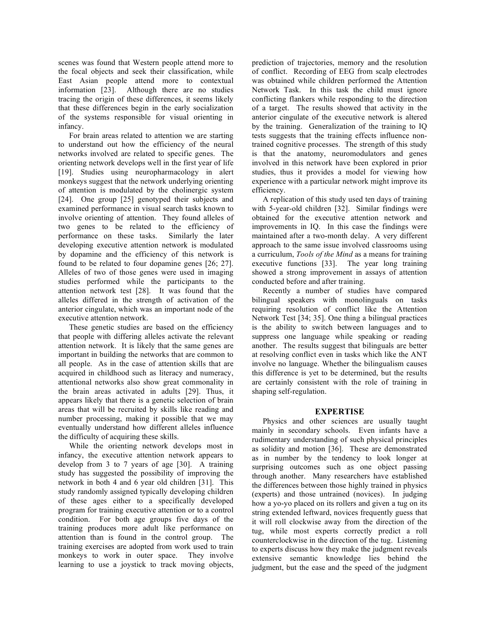scenes was found that Western people attend more to the focal objects and seek their classification, while East Asian people attend more to contextual information [23]. Although there are no studies tracing the origin of these differences, it seems likely that these differences begin in the early socialization of the systems responsible for visual orienting in infancy.

For brain areas related to attention we are starting to understand out how the efficiency of the neural networks involved are related to specific genes. The orienting network develops well in the first year of life [19]. Studies using neuropharmacology in alert monkeys suggest that the network underlying orienting of attention is modulated by the cholinergic system [24]. One group [25] genotyped their subjects and examined performance in visual search tasks known to involve orienting of attention. They found alleles of two genes to be related to the efficiency of performance on these tasks. Similarly the later developing executive attention network is modulated by dopamine and the efficiency of this network is found to be related to four dopamine genes [26; 27]. Alleles of two of those genes were used in imaging studies performed while the participants to the attention network test [28]. It was found that the alleles differed in the strength of activation of the anterior cingulate, which was an important node of the executive attention network.

These genetic studies are based on the efficiency that people with differing alleles activate the relevant attention network. It is likely that the same genes are important in building the networks that are common to all people. As in the case of attention skills that are acquired in childhood such as literacy and numeracy, attentional networks also show great commonality in the brain areas activated in adults [29]. Thus, it appears likely that there is a genetic selection of brain areas that will be recruited by skills like reading and number processing, making it possible that we may eventually understand how different alleles influence the difficulty of acquiring these skills.

While the orienting network develops most in infancy, the executive attention network appears to develop from 3 to 7 years of age [30]. A training study has suggested the possibility of improving the network in both 4 and 6 year old children [31]. This study randomly assigned typically developing children of these ages either to a specifically developed program for training executive attention or to a control condition. For both age groups five days of the training produces more adult like performance on attention than is found in the control group. The training exercises are adopted from work used to train monkeys to work in outer space. They involve learning to use a joystick to track moving objects, prediction of trajectories, memory and the resolution of conflict. Recording of EEG from scalp electrodes was obtained while children performed the Attention Network Task. In this task the child must ignore conflicting flankers while responding to the direction of a target. The results showed that activity in the anterior cingulate of the executive network is altered by the training. Generalization of the training to IQ tests suggests that the training effects influence nontrained cognitive processes. The strength of this study is that the anatomy, neuromodulators and genes involved in this network have been explored in prior studies, thus it provides a model for viewing how experience with a particular network might improve its efficiency.

A replication of this study used ten days of training with 5-year-old children [32]. Similar findings were obtained for the executive attention network and improvements in IQ. In this case the findings were maintained after a two-month delay. A very different approach to the same issue involved classrooms using a curriculum, *Tools of the Mind* as a means for training executive functions [33]. The year long training showed a strong improvement in assays of attention conducted before and after training.

Recently a number of studies have compared bilingual speakers with monolinguals on tasks requiring resolution of conflict like the Attention Network Test [34; 35]. One thing a bilingual practices is the ability to switch between languages and to suppress one language while speaking or reading another. The results suggest that bilinguals are better at resolving conflict even in tasks which like the ANT involve no language. Whether the bilingualism causes this difference is yet to be determined, but the results are certainly consistent with the role of training in shaping self-regulation.

## **EXPERTISE**

Physics and other sciences are usually taught mainly in secondary schools. Even infants have a rudimentary understanding of such physical principles as solidity and motion [36]. These are demonstrated as in number by the tendency to look longer at surprising outcomes such as one object passing through another. Many researchers have established the differences between those highly trained in physics (experts) and those untrained (novices). In judging how a yo-yo placed on its rollers and given a tug on its string extended leftward, novices frequently guess that it will roll clockwise away from the direction of the tug, while most experts correctly predict a roll counterclockwise in the direction of the tug. Listening to experts discuss how they make the judgment reveals extensive semantic knowledge lies behind the judgment, but the ease and the speed of the judgment